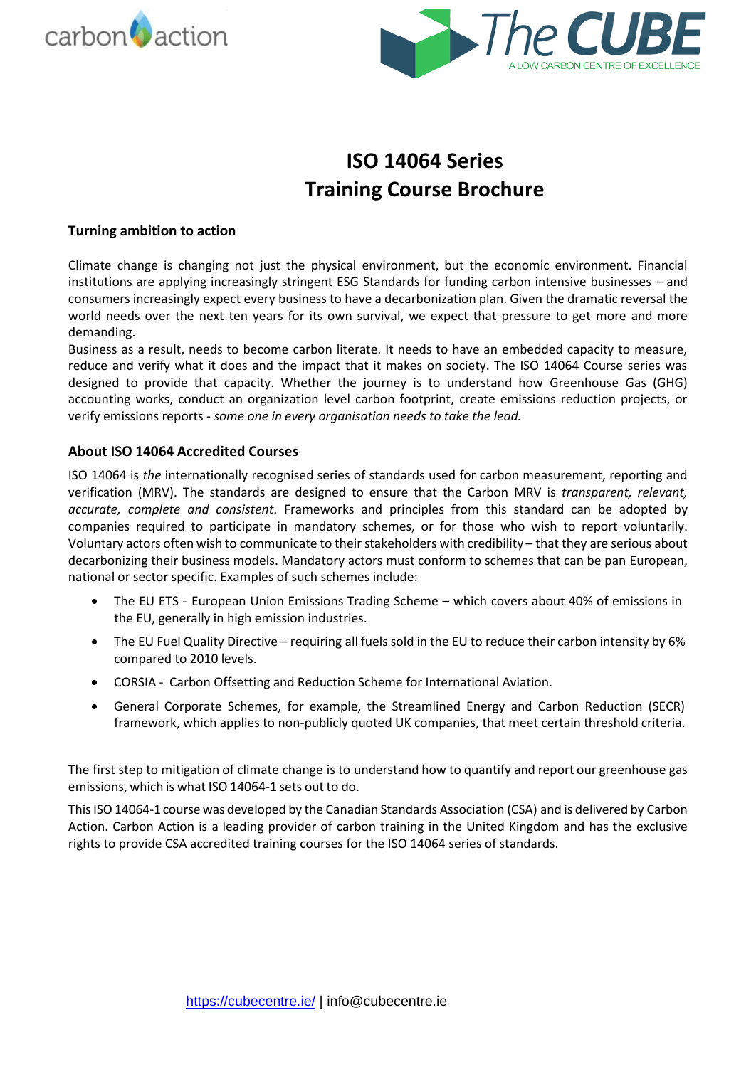



# **ISO 14064 Series Training Course Brochure**

# **Turning ambition to action**

Climate change is changing not just the physical environment, but the economic environment. Financial institutions are applying increasingly stringent ESG Standards for funding carbon intensive businesses – and consumers increasingly expect every business to have a decarbonization plan. Given the dramatic reversal the world needs over the next ten years for its own survival, we expect that pressure to get more and more demanding.

Business as a result, needs to become carbon literate. It needs to have an embedded capacity to measure, reduce and verify what it does and the impact that it makes on society. The ISO 14064 Course series was designed to provide that capacity. Whether the journey is to understand how Greenhouse Gas (GHG) accounting works, conduct an organization level carbon footprint, create emissions reduction projects, or verify emissions reports - *some one in every organisation needs to take the lead.*

# **About ISO 14064 Accredited Courses**

ISO 14064 is *the* internationally recognised series of standards used for carbon measurement, reporting and verification (MRV). The standards are designed to ensure that the Carbon MRV is *transparent, relevant, accurate, complete and consistent*. Frameworks and principles from this standard can be adopted by companies required to participate in mandatory schemes, or for those who wish to report voluntarily. Voluntary actors often wish to communicate to their stakeholders with credibility – that they are serious about decarbonizing their business models. Mandatory actors must conform to schemes that can be pan European, national or sector specific. Examples of such schemes include:

- The EU ETS European Union Emissions Trading Scheme which covers about 40% of emissions in the EU, generally in high emission industries.
- The EU Fuel Quality Directive requiring all fuels sold in the EU to reduce their carbon intensity by 6% compared to 2010 levels.
- CORSIA Carbon Offsetting and Reduction Scheme for International Aviation.
- General Corporate Schemes, for example, the Streamlined Energy and Carbon Reduction (SECR) framework, which applies to non-publicly quoted UK companies, that meet certain threshold criteria.

The first step to mitigation of climate change is to understand how to quantify and report our greenhouse gas emissions, which is what ISO 14064-1 sets out to do.

ThisISO14064-1 course was developed by the Canadian Standards Association (CSA) and is delivered by Carbon Action. Carbon Action is a leading provider of carbon training in the United Kingdom and has the exclusive rights to provide CSA accredited training courses for the ISO 14064 series of standards.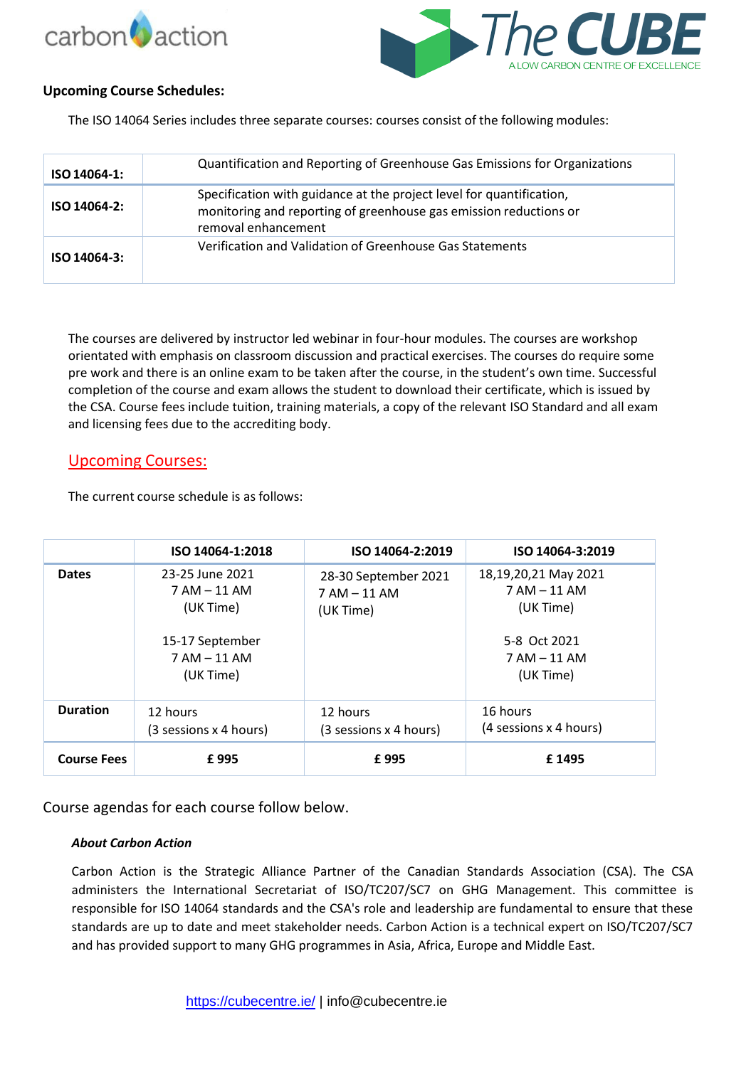



# **Upcoming Course Schedules:**

The ISO 14064 Series includes three separate courses: courses consist of the following modules:

| ISO 14064-1: | Quantification and Reporting of Greenhouse Gas Emissions for Organizations                                                                                       |  |
|--------------|------------------------------------------------------------------------------------------------------------------------------------------------------------------|--|
| ISO 14064-2: | Specification with guidance at the project level for quantification,<br>monitoring and reporting of greenhouse gas emission reductions or<br>removal enhancement |  |
| ISO 14064-3: | Verification and Validation of Greenhouse Gas Statements                                                                                                         |  |

The courses are delivered by instructor led webinar in four-hour modules. The courses are workshop orientated with emphasis on classroom discussion and practical exercises. The courses do require some pre work and there is an online exam to be taken after the course, in the student's own time. Successful completion of the course and exam allows the student to download their certificate, which is issued by the CSA. Course fees include tuition, training materials, a copy of the relevant ISO Standard and all exam and licensing fees due to the accrediting body.

# Upcoming Courses:

The current course schedule is as follows:

|                    | ISO 14064-1:2018                                                                                 | ISO 14064-2:2019                                    | ISO 14064-3:2019                                                                                   |
|--------------------|--------------------------------------------------------------------------------------------------|-----------------------------------------------------|----------------------------------------------------------------------------------------------------|
| <b>Dates</b>       | 23-25 June 2021<br>$7 AM - 11 AM$<br>(UK Time)<br>15-17 September<br>$7 AM - 11 AM$<br>(UK Time) | 28-30 September 2021<br>$7 AM - 11 AM$<br>(UK Time) | 18,19,20,21 May 2021<br>$7 AM - 11 AM$<br>(UK Time)<br>5-8 Oct 2021<br>$7 AM - 11 AM$<br>(UK Time) |
| <b>Duration</b>    | 12 hours<br>(3 sessions x 4 hours)                                                               | 12 hours<br>(3 sessions x 4 hours)                  | 16 hours<br>(4 sessions x 4 hours)                                                                 |
| <b>Course Fees</b> | £995                                                                                             | £995                                                | £1495                                                                                              |

Course agendas for each course follow below.

# *About Carbon Action*

Carbon Action is the Strategic Alliance Partner of the Canadian Standards Association (CSA). The CSA administers the International Secretariat of ISO/TC207/SC7 on GHG Management. This committee is responsible for ISO 14064 standards and the CSA's role and leadership are fundamental to ensure that these standards are up to date and meet stakeholder needs. Carbon Action is a technical expert on ISO/TC207/SC7 and has provided support to many GHG programmes in Asia, Africa, Europe and Middle East.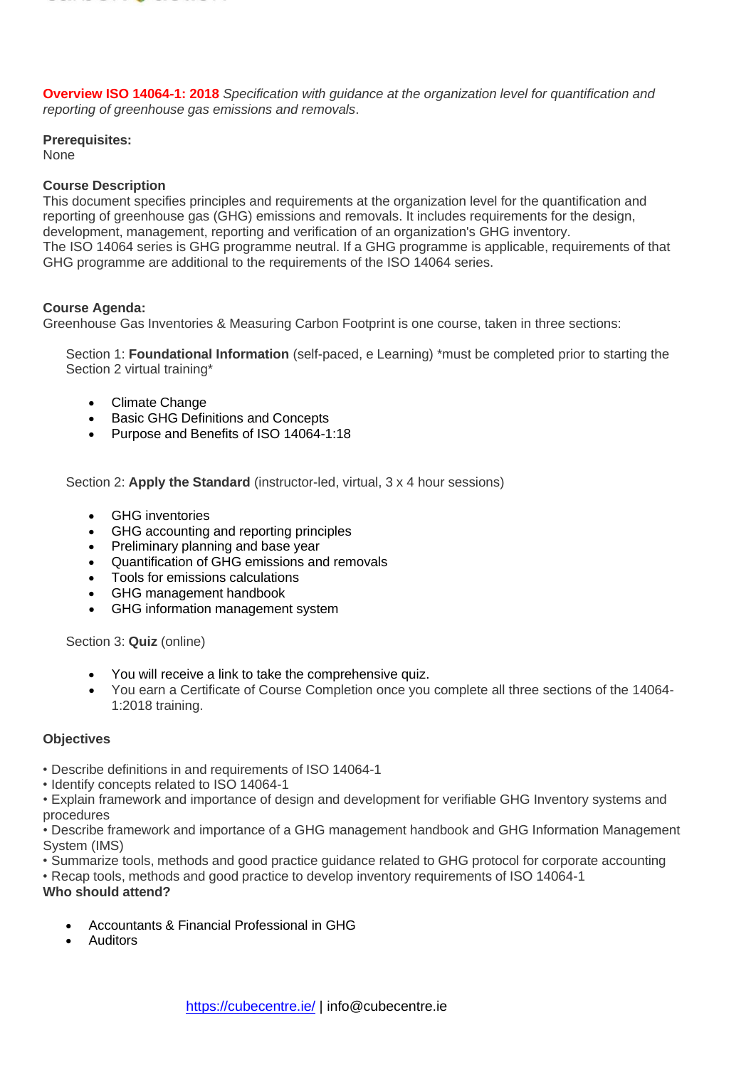

**Overview ISO 14064-1: 2018** *Specification with guidance at the organization level for quantification and reporting of greenhouse gas emissions and removals*.

#### **Prerequisites:**

None

#### **Course Description**

This document specifies principles and requirements at the organization level for the quantification and reporting of greenhouse gas (GHG) emissions and removals. It includes requirements for the design, development, management, reporting and verification of an organization's GHG inventory. The ISO 14064 series is GHG programme neutral. If a GHG programme is applicable, requirements of that GHG programme are additional to the requirements of the ISO 14064 series.

# **Course Agenda:**

Greenhouse Gas Inventories & Measuring Carbon Footprint is one course, taken in three sections:

Section 1: **Foundational Information** (self-paced, e Learning) \*must be completed prior to starting the Section 2 virtual training\*

- Climate Change
- **Basic GHG Definitions and Concepts**
- Purpose and Benefits of ISO 14064-1:18

Section 2: **Apply the Standard** (instructor-led, virtual, 3 x 4 hour sessions)

- GHG inventories
- GHG accounting and reporting principles
- Preliminary planning and base year
- Quantification of GHG emissions and removals
- Tools for emissions calculations
- GHG management handbook
- GHG information management system

Section 3: **Quiz** (online)

- You will receive a link to take the comprehensive quiz.
- You earn a Certificate of Course Completion once you complete all three sections of the 14064- 1:2018 training.

#### **Objectives**

- Describe definitions in and requirements of ISO 14064-1
- Identify concepts related to ISO 14064-1

• Explain framework and importance of design and development for verifiable GHG Inventory systems and procedures

• Describe framework and importance of a GHG management handbook and GHG Information Management System (IMS)

• Summarize tools, methods and good practice guidance related to GHG protocol for corporate accounting

• Recap tools, methods and good practice to develop inventory requirements of ISO 14064-1

# **Who should attend?**

- Accountants & Financial Professional in GHG
- **Auditors**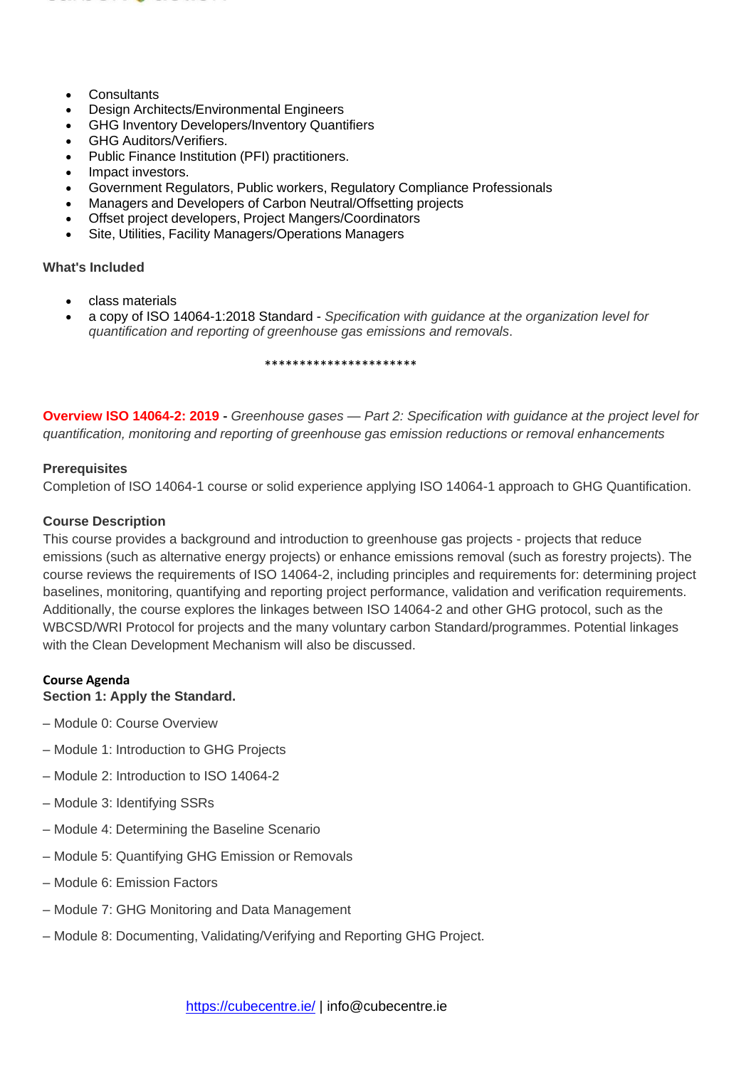

- Consultants
- Design Architects/Environmental Engineers
- GHG Inventory Developers/Inventory Quantifiers
- GHG Auditors/Verifiers.
- Public Finance Institution (PFI) practitioners.
- Impact investors.
- Government Regulators, Public workers, Regulatory Compliance Professionals
- Managers and Developers of Carbon Neutral/Offsetting projects
- Offset project developers, Project Mangers/Coordinators
- Site, Utilities, Facility Managers/Operations Managers

#### **What's Included**

- class materials
- a copy of ISO 14064-1:2018 Standard *Specification with guidance at the organization level for quantification and reporting of greenhouse gas emissions and removals*.

\*\*\*\*\*\*\*\*\*\*\*\*\*\*\*\*\*\*\*\*\*\*

**Overview ISO 14064-2: 2019 -** *Greenhouse gases — Part 2: Specification with guidance at the project level for quantification, monitoring and reporting of greenhouse gas emission reductions or removal enhancements*

#### **Prerequisites**

Completion of ISO 14064-1 course or solid experience applying ISO 14064-1 approach to GHG Quantification.

# **Course Description**

This course provides a background and introduction to greenhouse gas projects - projects that reduce emissions (such as alternative energy projects) or enhance emissions removal (such as forestry projects). The course reviews the requirements of ISO 14064-2, including principles and requirements for: determining project baselines, monitoring, quantifying and reporting project performance, validation and verification requirements. Additionally, the course explores the linkages between ISO 14064-2 and other GHG protocol, such as the WBCSD/WRI Protocol for projects and the many voluntary carbon Standard/programmes. Potential linkages with the Clean Development Mechanism will also be discussed.

# **Course Agenda**

#### **Section 1: Apply the Standard.**

- Module 0: Course Overview
- Module 1: Introduction to GHG Projects
- Module 2: Introduction to ISO 14064-2
- Module 3: Identifying SSRs
- Module 4: Determining the Baseline Scenario
- Module 5: Quantifying GHG Emission or Removals
- Module 6: Emission Factors
- Module 7: GHG Monitoring and Data Management
- Module 8: Documenting, Validating/Verifying and Reporting GHG Project.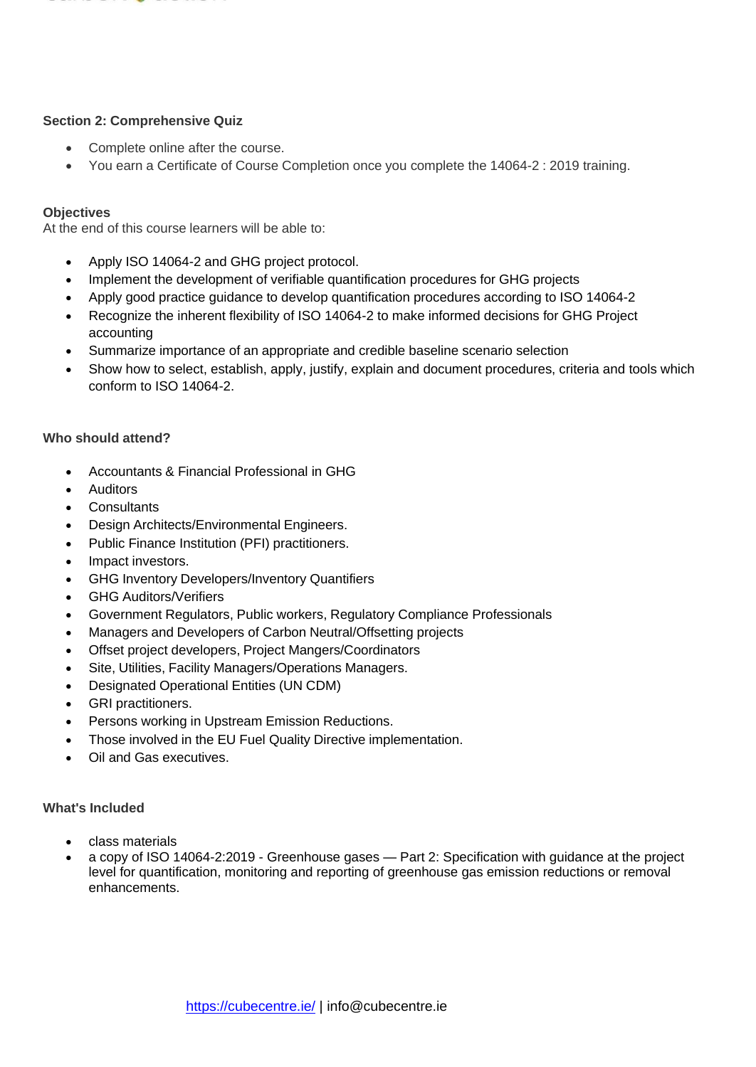

#### **Section 2: Comprehensive Quiz**

- Complete online after the course.
- You earn a Certificate of Course Completion once you complete the 14064-2 : 2019 training.

#### **Objectives**

At the end of this course learners will be able to:

- Apply ISO 14064-2 and GHG project protocol.
- Implement the development of verifiable quantification procedures for GHG projects
- Apply good practice guidance to develop quantification procedures according to ISO 14064-2
- Recognize the inherent flexibility of ISO 14064-2 to make informed decisions for GHG Project accounting
- Summarize importance of an appropriate and credible baseline scenario selection
- Show how to select, establish, apply, justify, explain and document procedures, criteria and tools which conform to ISO 14064-2.

#### **Who should attend?**

- Accountants & Financial Professional in GHG
- **Auditors**
- **Consultants**
- Design Architects/Environmental Engineers.
- Public Finance Institution (PFI) practitioners.
- Impact investors.
- GHG Inventory Developers/Inventory Quantifiers
- GHG Auditors/Verifiers
- Government Regulators, Public workers, Regulatory Compliance Professionals
- Managers and Developers of Carbon Neutral/Offsetting projects
- Offset project developers, Project Mangers/Coordinators
- Site, Utilities, Facility Managers/Operations Managers.
- Designated Operational Entities (UN CDM)
- GRI practitioners.
- Persons working in Upstream Emission Reductions.
- Those involved in the EU Fuel Quality Directive implementation.
- Oil and Gas executives.

#### **What's Included**

- class materials
- a copy of ISO 14064-2:2019 Greenhouse gases Part 2: Specification with guidance at the project level for quantification, monitoring and reporting of greenhouse gas emission reductions or removal enhancements.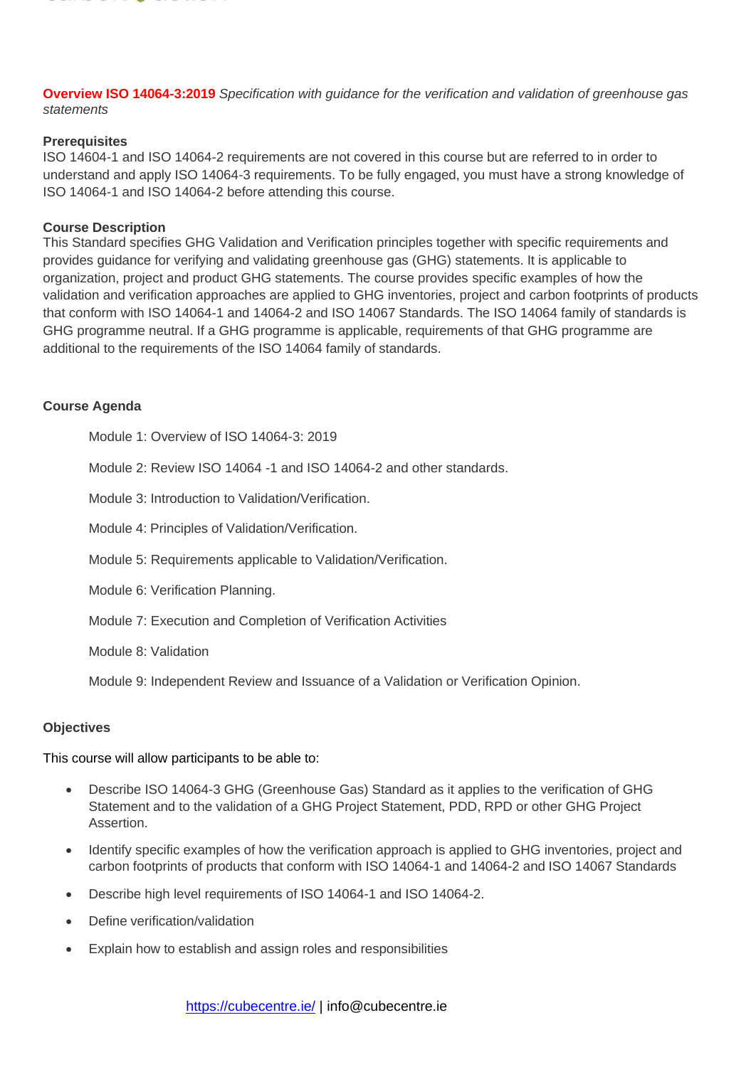

**Overview ISO 14064-3:2019** *Specification with guidance for the verification and validation of greenhouse gas statements*

#### **Prerequisites**

ISO 14604-1 and ISO 14064-2 requirements are not covered in this course but are referred to in order to understand and apply ISO 14064-3 requirements. To be fully engaged, you must have a strong knowledge of ISO 14064-1 and ISO 14064-2 before attending this course.

#### **Course Description**

This Standard specifies GHG Validation and Verification principles together with specific requirements and provides guidance for verifying and validating greenhouse gas (GHG) statements. It is applicable to organization, project and product GHG statements. The course provides specific examples of how the validation and verification approaches are applied to GHG inventories, project and carbon footprints of products that conform with ISO 14064-1 and 14064-2 and ISO 14067 Standards. The ISO 14064 family of standards is GHG programme neutral. If a GHG programme is applicable, requirements of that GHG programme are additional to the requirements of the ISO 14064 family of standards.

#### **Course Agenda**

Module 1: Overview of ISO 14064-3: 2019

Module 2: Review ISO 14064 -1 and ISO 14064-2 and other standards.

Module 3: Introduction to Validation/Verification.

Module 4: Principles of Validation/Verification.

Module 5: Requirements applicable to Validation/Verification.

Module 6: Verification Planning.

Module 7: Execution and Completion of Verification Activities

Module 8: Validation

Module 9: Independent Review and Issuance of a Validation or Verification Opinion.

#### **Objectives**

This course will allow participants to be able to:

- Describe ISO 14064-3 GHG (Greenhouse Gas) Standard as it applies to the verification of GHG Statement and to the validation of a GHG Project Statement, PDD, RPD or other GHG Project Assertion.
- Identify specific examples of how the verification approach is applied to GHG inventories, project and carbon footprints of products that conform with ISO 14064-1 and 14064-2 and ISO 14067 Standards
- Describe high level requirements of ISO 14064-1 and ISO 14064-2.
- Define verification/validation
- Explain how to establish and assign roles and responsibilities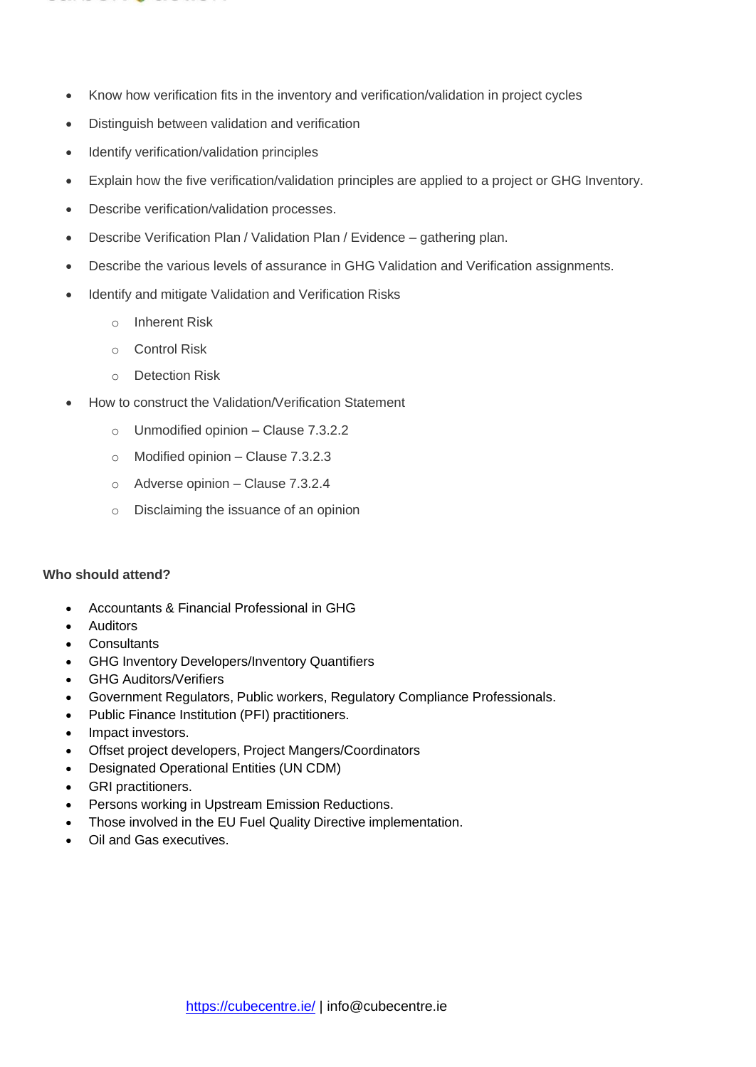

- Know how verification fits in the inventory and verification/validation in project cycles
- Distinguish between validation and verification
- Identify verification/validation principles
- Explain how the five verification/validation principles are applied to a project or GHG Inventory.
- Describe verification/validation processes.
- Describe Verification Plan / Validation Plan / Evidence gathering plan.
- Describe the various levels of assurance in GHG Validation and Verification assignments.
- Identify and mitigate Validation and Verification Risks
	- o Inherent Risk
	- o Control Risk
	- o Detection Risk
- How to construct the Validation/Verification Statement
	- $\circ$  Unmodified opinion Clause 7.3.2.2
	- o Modified opinion Clause 7.3.2.3
	- o Adverse opinion Clause 7.3.2.4
	- o Disclaiming the issuance of an opinion

# **Who should attend?**

- Accountants & Financial Professional in GHG
- **Auditors**
- **Consultants**
- GHG Inventory Developers/Inventory Quantifiers
- GHG Auditors/Verifiers
- Government Regulators, Public workers, Regulatory Compliance Professionals.
- Public Finance Institution (PFI) practitioners.
- Impact investors.
- Offset project developers, Project Mangers/Coordinators
- Designated Operational Entities (UN CDM)
- GRI practitioners.
- Persons working in Upstream Emission Reductions.
- Those involved in the EU Fuel Quality Directive implementation.
- Oil and Gas executives.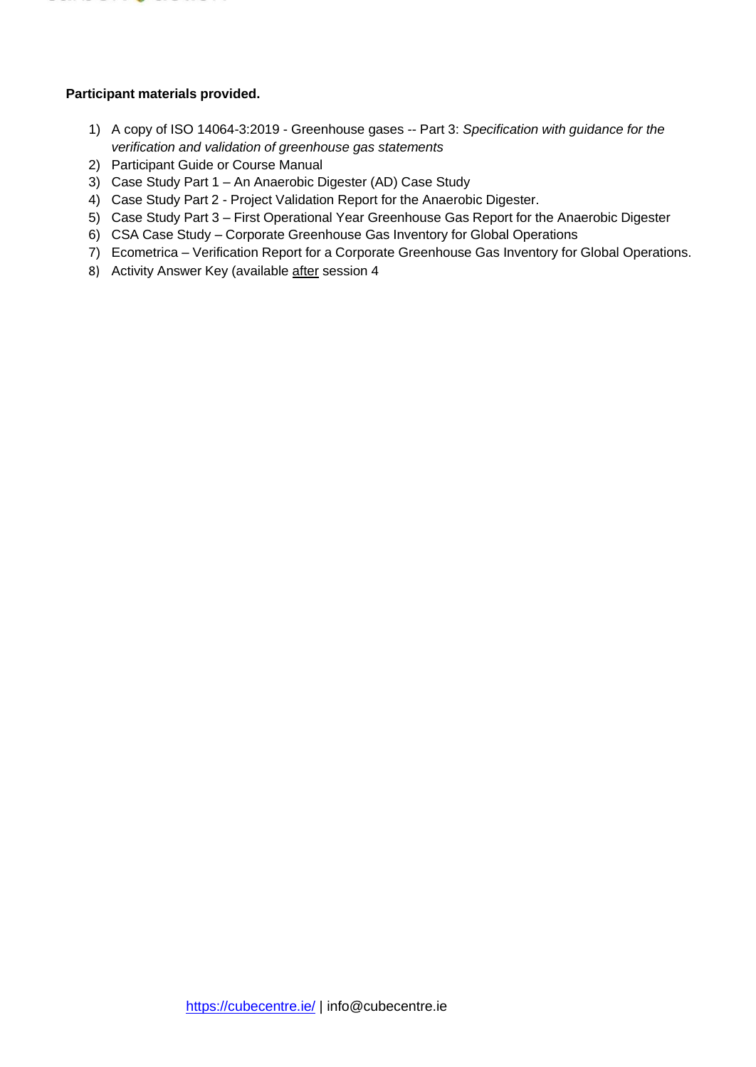

# **Participant materials provided.**

- 1) A copy of ISO 14064-3:2019 Greenhouse gases -- Part 3: *Specification with guidance for the verification and validation of greenhouse gas statements*
- 2) Participant Guide or Course Manual
- 3) Case Study Part 1 An Anaerobic Digester (AD) Case Study
- 4) Case Study Part 2 Project Validation Report for the Anaerobic Digester.
- 5) Case Study Part 3 First Operational Year Greenhouse Gas Report for the Anaerobic Digester
- 6) CSA Case Study Corporate Greenhouse Gas Inventory for Global Operations
- 7) Ecometrica Verification Report for a Corporate Greenhouse Gas Inventory for Global Operations.
- 8) Activity Answer Key (available after session 4